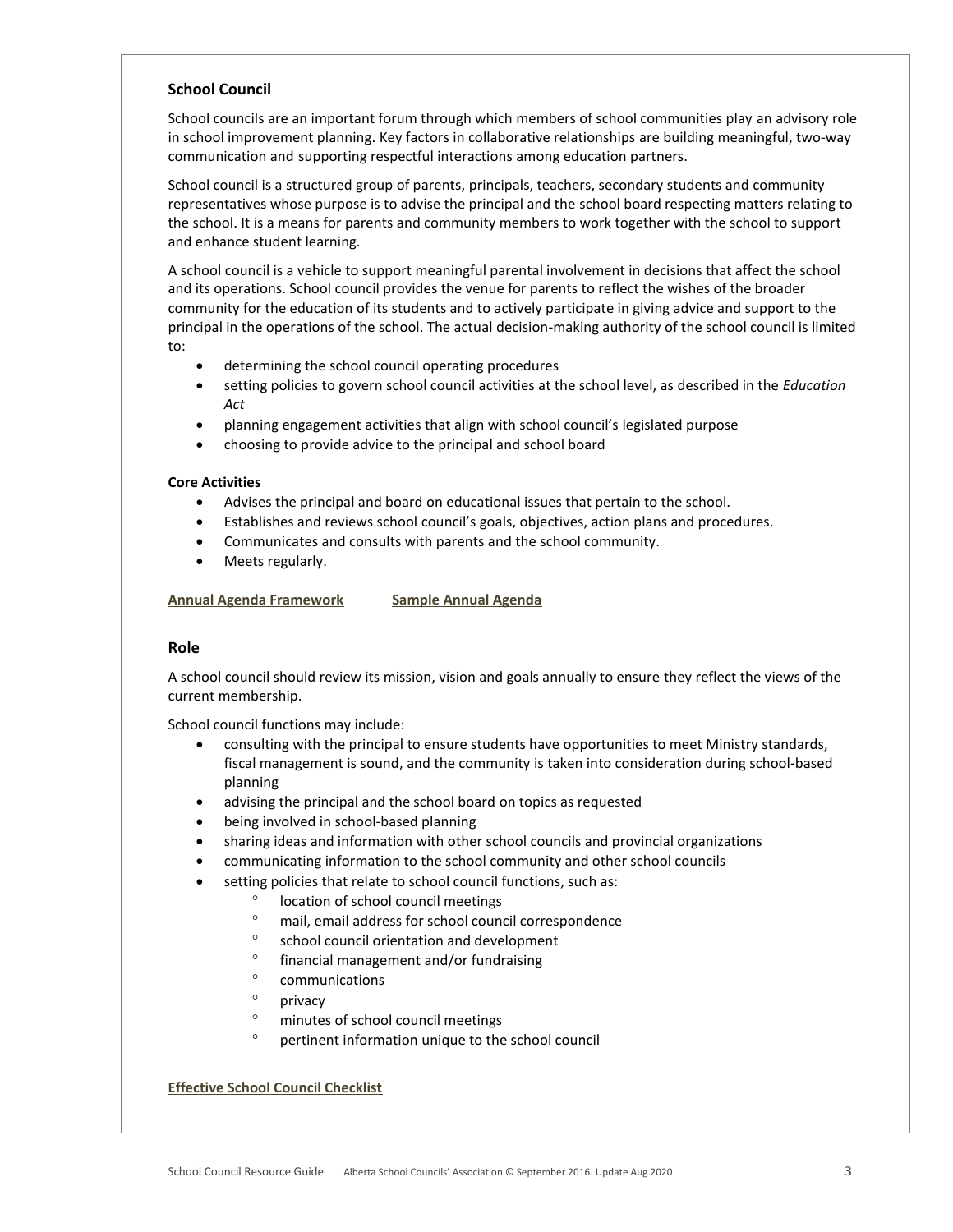# **School Council**

School councils are an important forum through which members of school communities play an advisory role in school improvement planning. Key factors in collaborative relationships are building meaningful, two-way communication and supporting respectful interactions among education partners.

School council is a structured group of parents, principals, teachers, secondary students and community representatives whose purpose is to advise the principal and the school board respecting matters relating to the school. It is a means for parents and community members to work together with the school to support and enhance student learning.

A school council is a vehicle to support meaningful parental involvement in decisions that affect the school and its operations. School council provides the venue for parents to reflect the wishes of the broader community for the education of its students and to actively participate in giving advice and support to the principal in the operations of the school. The actual decision-making authority of the school council is limited to:

- determining the school council operating procedures
- setting policies to govern school council activities at the school level, as described in the *Education Act*
- planning engagement activities that align with school council's legislated purpose
- choosing to provide advice to the principal and school board

# **Core Activities**

- Advises the principal and board on educational issues that pertain to the school.
- Establishes and reviews school council's goals, objectives, action plans and procedures.
- Communicates and consults with parents and the school community.
- Meets regularly.

**Annual Agenda Framework Sample Annual Agenda**

## **Role**

A school council should review its mission, vision and goals annually to ensure they reflect the views of the current membership.

School council functions may include:

- consulting with the principal to ensure students have opportunities to meet Ministry standards, fiscal management is sound, and the community is taken into consideration during school-based planning
- advising the principal and the school board on topics as requested
- being involved in school-based planning
- sharing ideas and information with other school councils and provincial organizations
- communicating information to the school community and other school councils
- setting policies that relate to school council functions, such as:
	- <sup>o</sup> location of school council meetings
	- mail, email address for school council correspondence
	- ° school council orientation and development
	- financial management and/or fundraising
	- <sup>o</sup> communications
	- <sup>o</sup> privacy
	- minutes of school council meetings
	- pertinent information unique to the school council

# **Effective School Council Checklist**